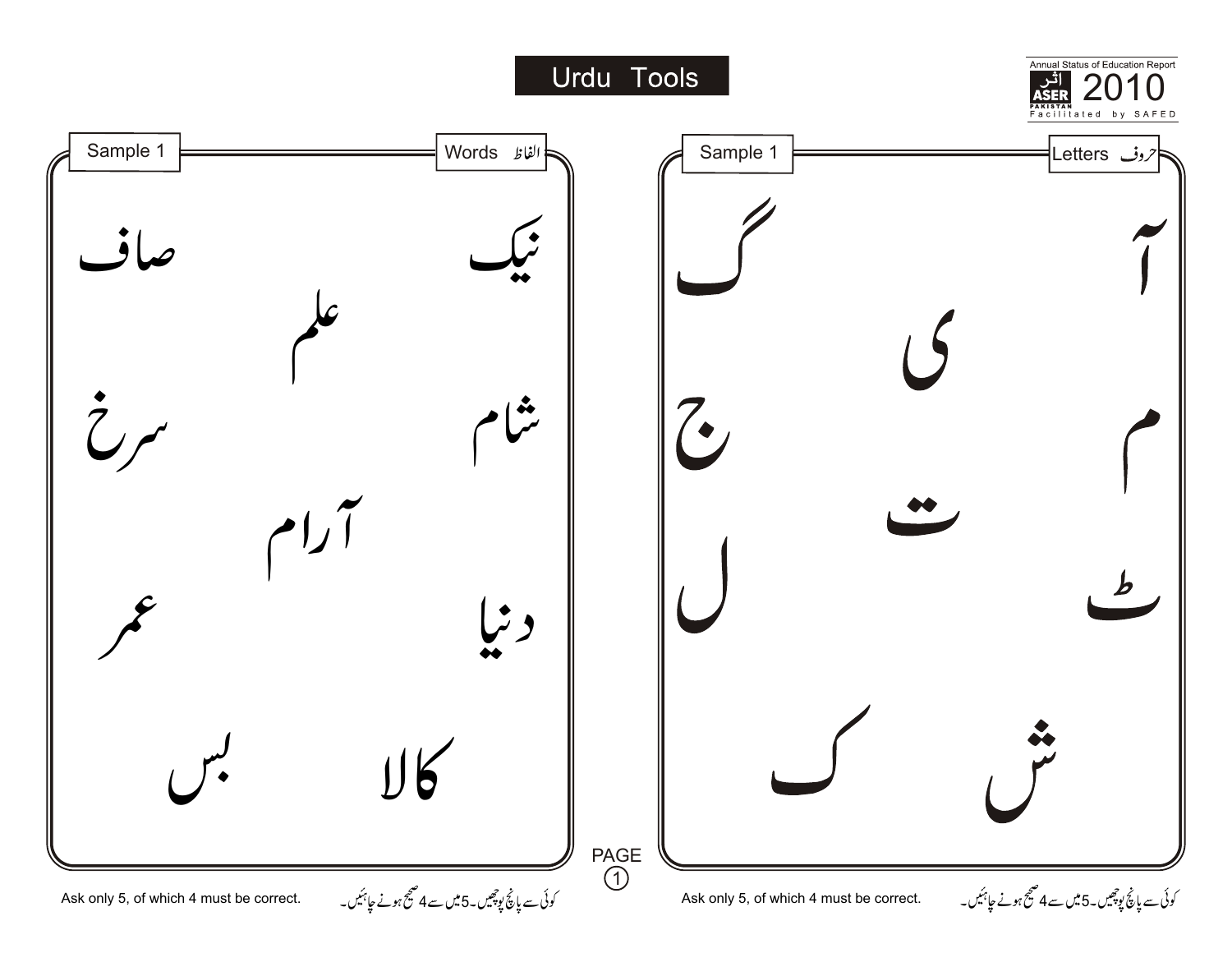## Urdu Tools

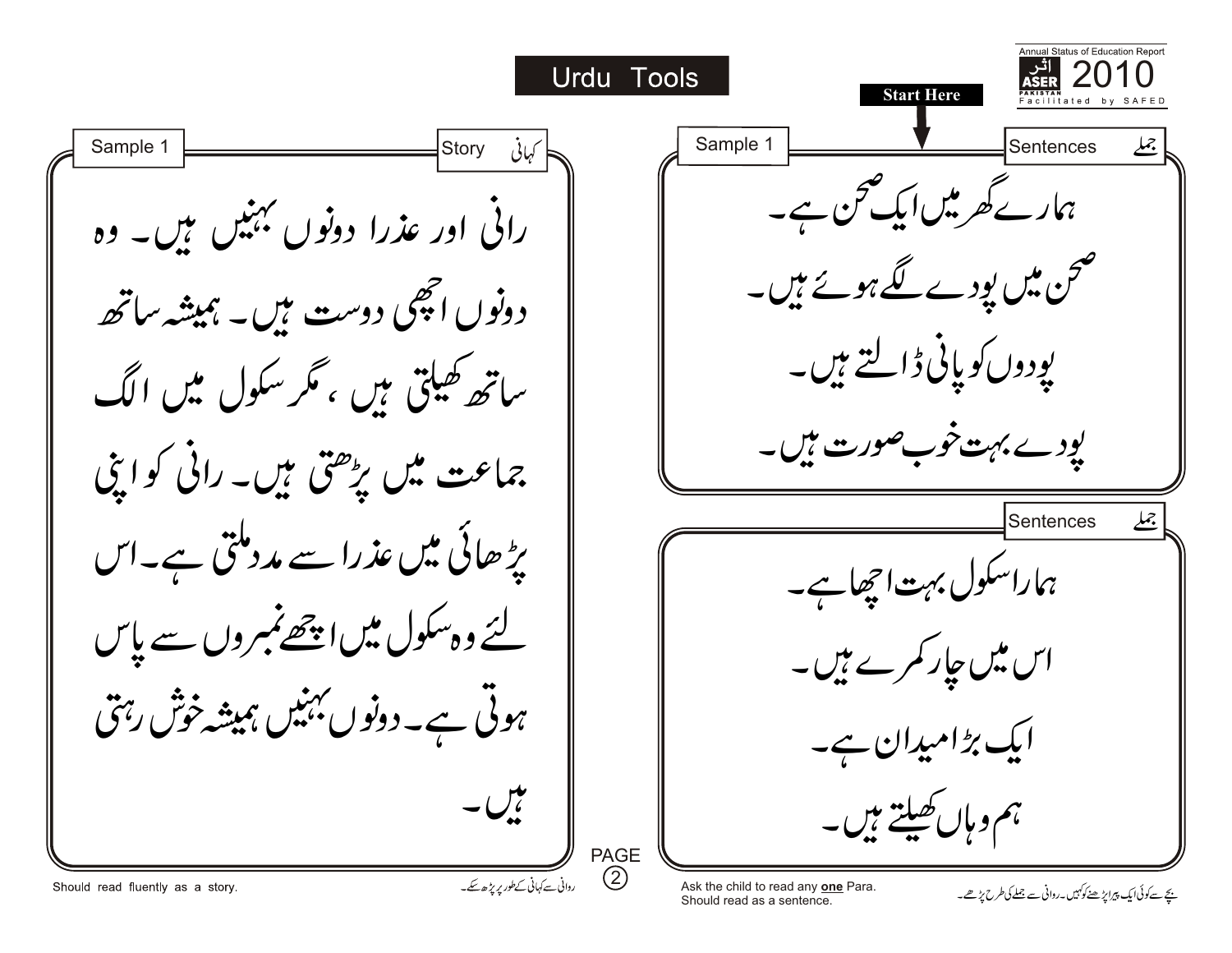**Status of Education Report** 2010 Urdu Tools **Start Here** Sample 1  $\Box$  Sample 1 Sentences **Storv** ہمارے کھر میں ایک بحن ہے۔ رائی اور عذرا دونوں بہنیں ہیں۔ وہ صحن میں پودے گئے ہوئے ہیں۔ دونوں اچھی دوست ہیں۔ ہمیشہ ساتھ *پ*ودوں کو پانی ڈالتے ہیں۔ ساتھ کھیلتی ہیں ، گر سکول میں الگ یودے بہت خوب صورت ہیں۔<br>۔ جماعت میں بڑھتی ہیں۔ رائی کو اپنی Sentences  $\lambda$ یڑھائی میں عذرا سے مددملتی ہے۔اس ہماراسکول بہت اچھاہے۔ لئے وہ سکول میں ا<u>چھے</u> بمبروں سے پاس اس میں جار کمرے ہیں۔ ہوئی ہے۔دونوں بہنیں ہمیشہ خوش رہتی ایک بڑامیدان ہے۔ تال ۔ ہم و ہاں کھیلتے ہیں۔ PAGE  $\circled{2}$ روانی سے کہانی کےطور پر بڑھ سکے۔ Should read fluently as a story. Ask the child to read any **one** Para. Ask the child to read any <u>one</u> Para.<br>Should read as a sentence. ی*چ سے کو*نی ایک پیرا پڑھے تھے جون میں جون میں ج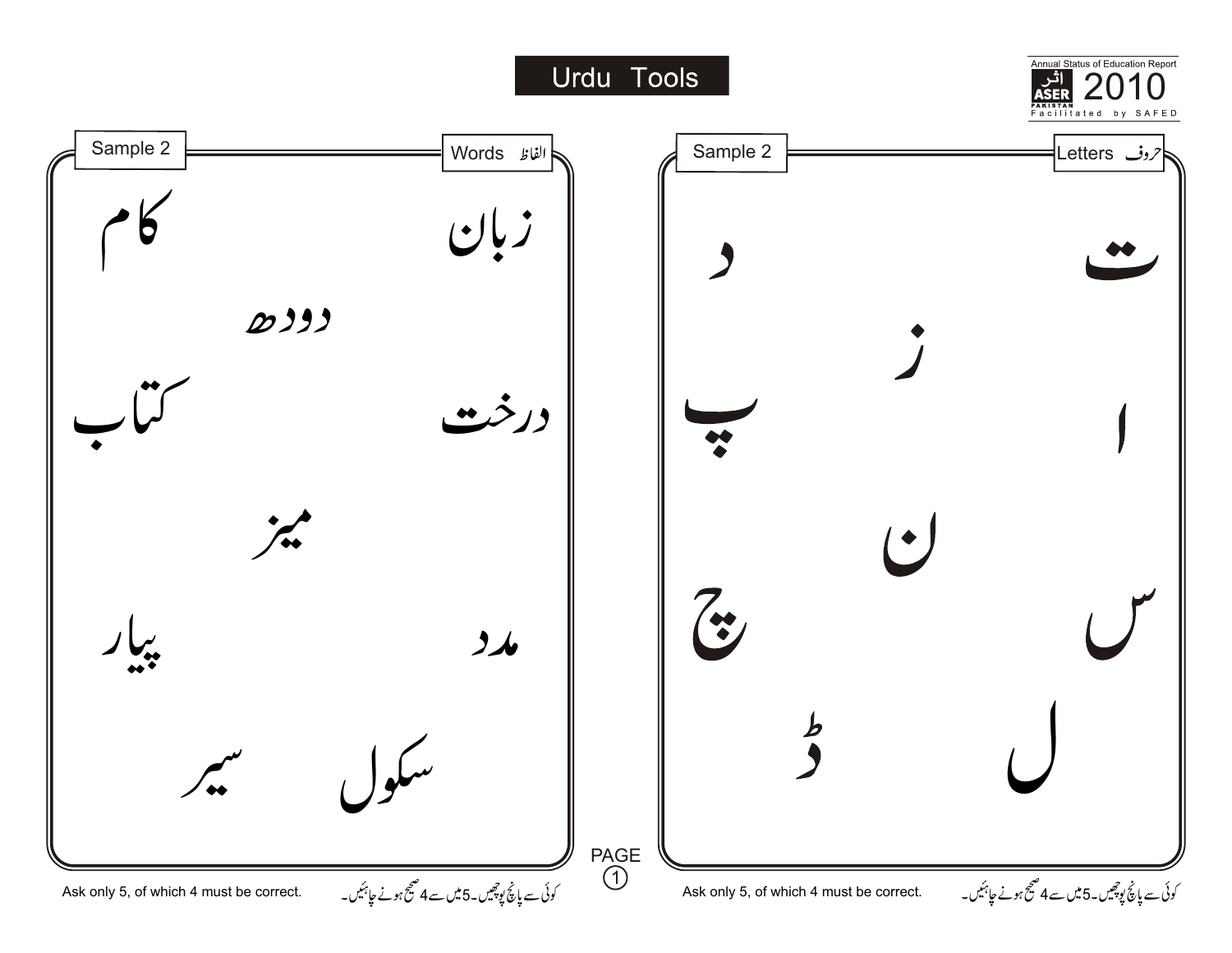## Urdu Tools

Annual Status of Education Report